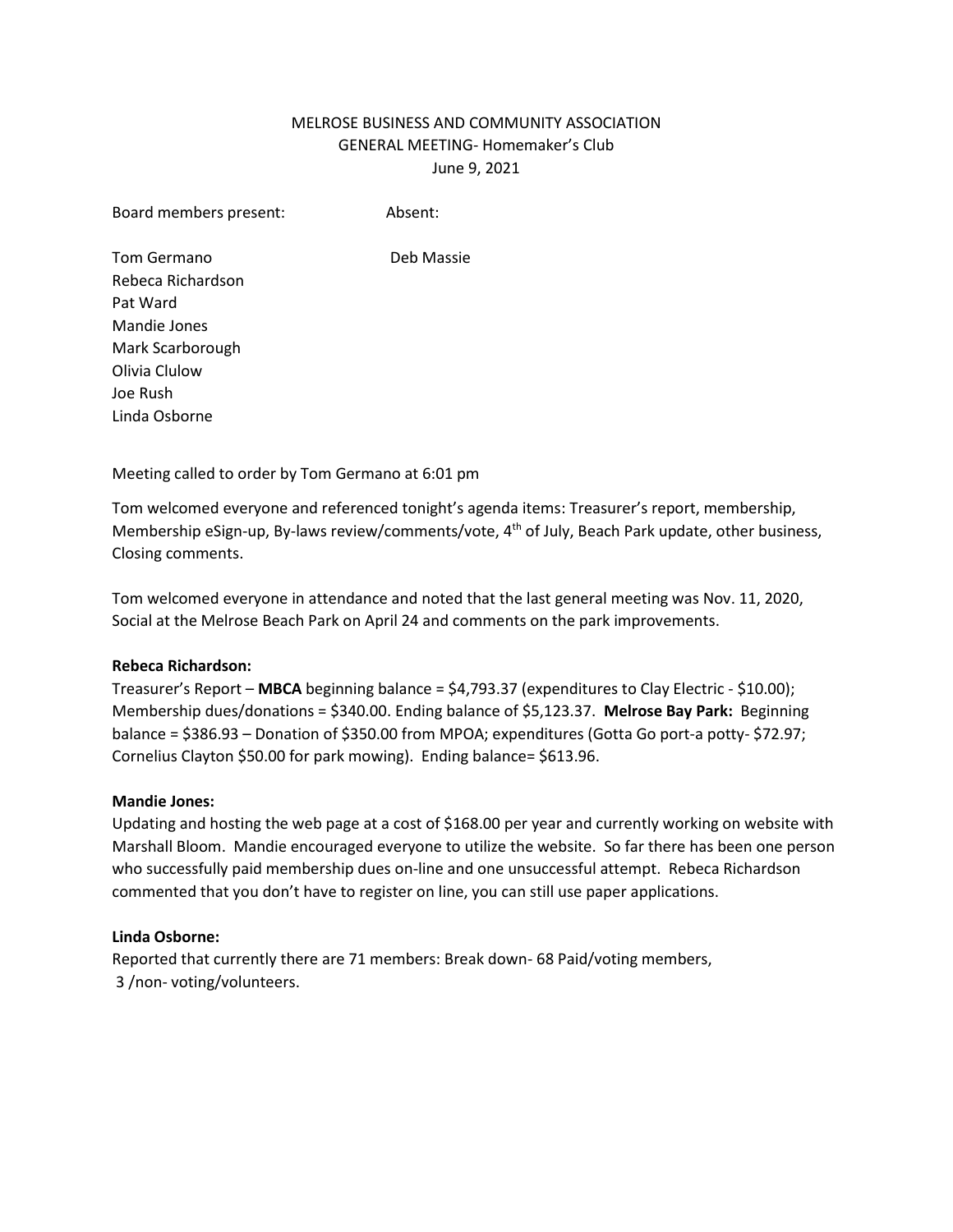# MELROSE BUSINESS AND COMMUNITY ASSOCIATION GENERAL MEETING- Homemaker's Club June 9, 2021

Board members present: Absent:

Tom Germano **Deb Massie** Rebeca Richardson Pat Ward Mandie Jones Mark Scarborough Olivia Clulow Joe Rush Linda Osborne

Meeting called to order by Tom Germano at 6:01 pm

Tom welcomed everyone and referenced tonight's agenda items: Treasurer's report, membership, Membership eSign-up, By-laws review/comments/vote, 4<sup>th</sup> of July, Beach Park update, other business, Closing comments.

Tom welcomed everyone in attendance and noted that the last general meeting was Nov. 11, 2020, Social at the Melrose Beach Park on April 24 and comments on the park improvements.

### **Rebeca Richardson:**

Treasurer's Report – **MBCA** beginning balance = \$4,793.37 (expenditures to Clay Electric - \$10.00); Membership dues/donations = \$340.00. Ending balance of \$5,123.37. **Melrose Bay Park:** Beginning balance = \$386.93 – Donation of \$350.00 from MPOA; expenditures (Gotta Go port-a potty- \$72.97; Cornelius Clayton \$50.00 for park mowing). Ending balance= \$613.96.

### **Mandie Jones:**

Updating and hosting the web page at a cost of \$168.00 per year and currently working on website with Marshall Bloom. Mandie encouraged everyone to utilize the website. So far there has been one person who successfully paid membership dues on-line and one unsuccessful attempt. Rebeca Richardson commented that you don't have to register on line, you can still use paper applications.

### **Linda Osborne:**

Reported that currently there are 71 members: Break down- 68 Paid/voting members, 3 /non- voting/volunteers.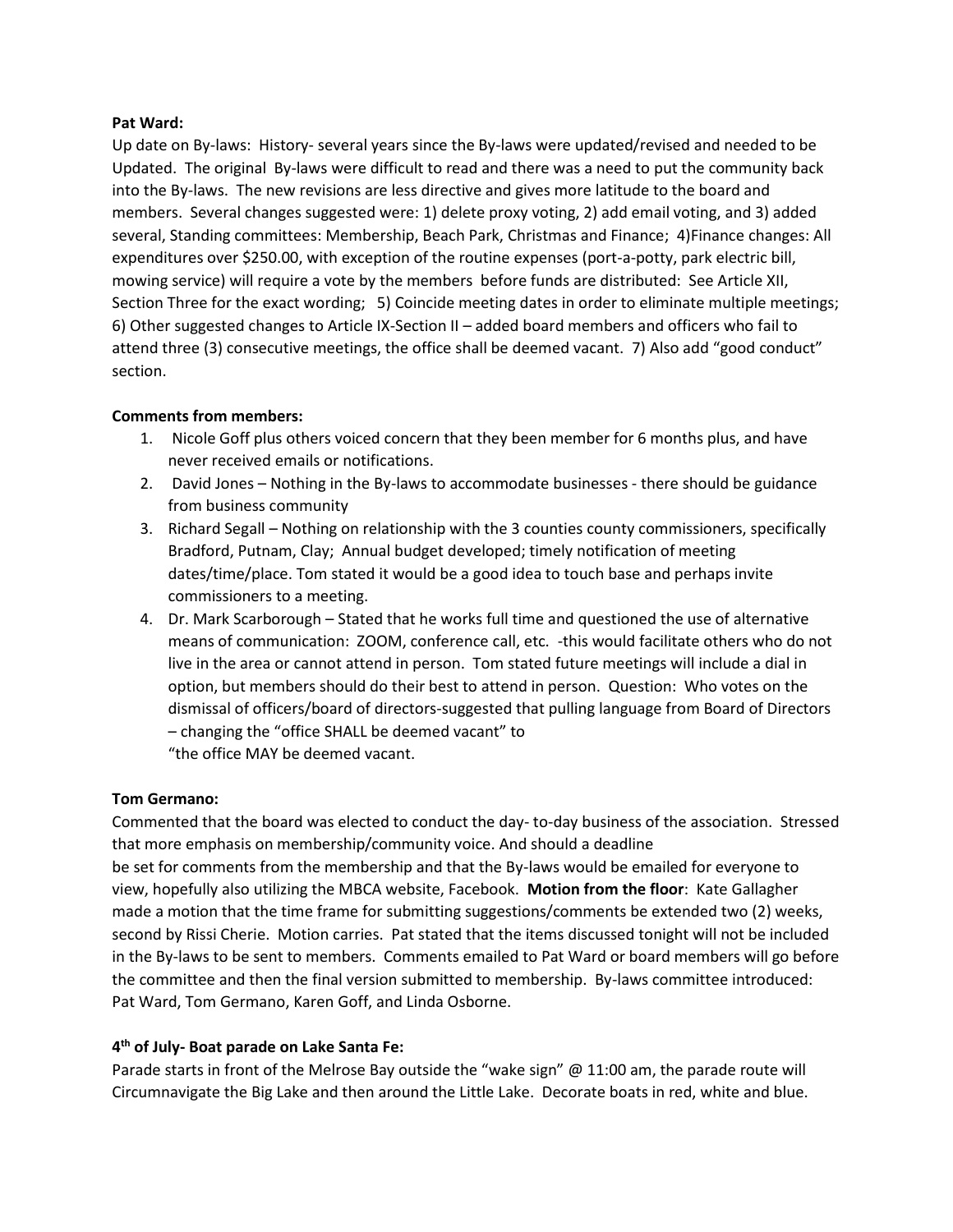### **Pat Ward:**

Up date on By-laws: History- several years since the By-laws were updated/revised and needed to be Updated. The original By-laws were difficult to read and there was a need to put the community back into the By-laws. The new revisions are less directive and gives more latitude to the board and members. Several changes suggested were: 1) delete proxy voting, 2) add email voting, and 3) added several, Standing committees: Membership, Beach Park, Christmas and Finance; 4)Finance changes: All expenditures over \$250.00, with exception of the routine expenses (port-a-potty, park electric bill, mowing service) will require a vote by the members before funds are distributed: See Article XII, Section Three for the exact wording; 5) Coincide meeting dates in order to eliminate multiple meetings; 6) Other suggested changes to Article IX-Section II – added board members and officers who fail to attend three (3) consecutive meetings, the office shall be deemed vacant. 7) Also add "good conduct" section.

### **Comments from members:**

- 1. Nicole Goff plus others voiced concern that they been member for 6 months plus, and have never received emails or notifications.
- 2. David Jones Nothing in the By-laws to accommodate businesses there should be guidance from business community
- 3. Richard Segall Nothing on relationship with the 3 counties county commissioners, specifically Bradford, Putnam, Clay; Annual budget developed; timely notification of meeting dates/time/place. Tom stated it would be a good idea to touch base and perhaps invite commissioners to a meeting.
- 4. Dr. Mark Scarborough Stated that he works full time and questioned the use of alternative means of communication: ZOOM, conference call, etc. -this would facilitate others who do not live in the area or cannot attend in person. Tom stated future meetings will include a dial in option, but members should do their best to attend in person. Question: Who votes on the dismissal of officers/board of directors-suggested that pulling language from Board of Directors – changing the "office SHALL be deemed vacant" to "the office MAY be deemed vacant.

### **Tom Germano:**

Commented that the board was elected to conduct the day- to-day business of the association. Stressed that more emphasis on membership/community voice. And should a deadline be set for comments from the membership and that the By-laws would be emailed for everyone to view, hopefully also utilizing the MBCA website, Facebook. **Motion from the floor**: Kate Gallagher made a motion that the time frame for submitting suggestions/comments be extended two (2) weeks, second by Rissi Cherie. Motion carries. Pat stated that the items discussed tonight will not be included in the By-laws to be sent to members. Comments emailed to Pat Ward or board members will go before the committee and then the final version submitted to membership. By-laws committee introduced: Pat Ward, Tom Germano, Karen Goff, and Linda Osborne.

## **4 th of July- Boat parade on Lake Santa Fe:**

Parade starts in front of the Melrose Bay outside the "wake sign" @ 11:00 am, the parade route will Circumnavigate the Big Lake and then around the Little Lake. Decorate boats in red, white and blue.